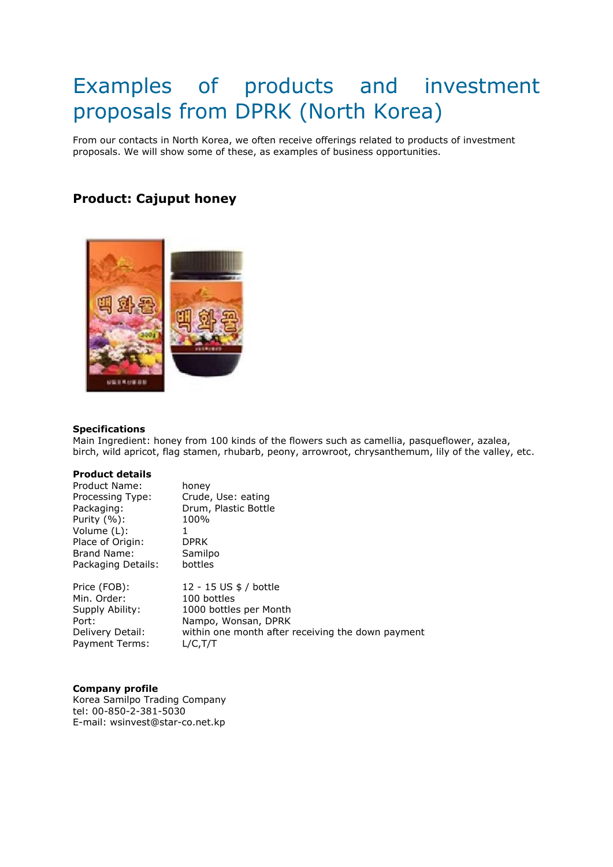# Examples of products and investment proposals from DPRK (North Korea)

From our contacts in North Korea, we often receive offerings related to products of investment proposals. We will show some of these, as examples of business opportunities.

## **Product: Cajuput honey**



#### **Specifications**

Main Ingredient: honey from 100 kinds of the flowers such as camellia, pasqueflower, azalea, birch, wild apricot, flag stamen, rhubarb, peony, arrowroot, chrysanthemum, lily of the valley, etc.

#### **Product details**

| Product Name:<br>Processing Type:<br>Packaging:<br>Purity $(\%)$ :<br>Volume (L):<br>Place of Origin:<br>Brand Name:<br>Packaging Details: | honey<br>Crude, Use: eating<br>Drum, Plastic Bottle<br>100%<br><b>DPRK</b><br>Samilpo<br>bottles |
|--------------------------------------------------------------------------------------------------------------------------------------------|--------------------------------------------------------------------------------------------------|
| Price (FOB):                                                                                                                               | 12 - 15 US \$ / bottle                                                                           |
| Min. Order:                                                                                                                                | 100 bottles                                                                                      |
| Supply Ability:                                                                                                                            | 1000 bottles per Month                                                                           |
| Port:                                                                                                                                      | Nampo, Wonsan, DPRK                                                                              |
| Delivery Detail:                                                                                                                           | within one month after receiving the down payment                                                |
| Payment Terms:                                                                                                                             | $L/C$ , $T/T$                                                                                    |

#### **Company profile**

Korea Samilpo Trading Company tel: 00-850-2-381-5030 E-mail: wsinvest@star-co.net.kp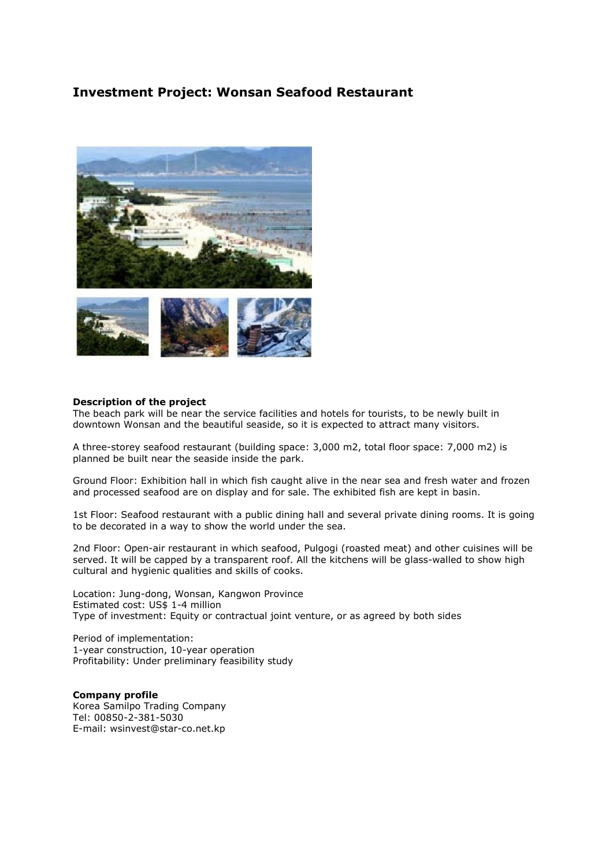### **Investment Project: Wonsan Seafood Restaurant**



#### **Description of the project**

The beach park will be near the service facilities and hotels for tourists, to be newly built in downtown Wonsan and the beautiful seaside, so it is expected to attract many visitors.

A three-storey seafood restaurant (building space: 3,000 m2, total floor space: 7,000 m2) is planned be built near the seaside inside the park.

Ground Floor: Exhibition hall in which fish caught alive in the near sea and fresh water and frozen and processed seafood are on display and for sale. The exhibited fish are kept in basin.

1st Floor: Seafood restaurant with a public dining hall and several private dining rooms. It is going to be decorated in a way to show the world under the sea.

2nd Floor: Open-air restaurant in which seafood, Pulgogi (roasted meat) and other cuisines will be served. It will be capped by a transparent roof. All the kitchens will be glass-walled to show high cultural and hygienic qualities and skills of cooks.

Location: Jung-dong, Wonsan, Kangwon Province Estimated cost: US\$ 1-4 million Type of investment: Equity or contractual joint venture, or as agreed by both sides

Period of implementation: 1-year construction, 10-year operation Profitability: Under preliminary feasibility study

**Company profile**  Korea Samilpo Trading Company Tel: 00850-2-381-5030 E-mail: wsinvest@star-co.net.kp